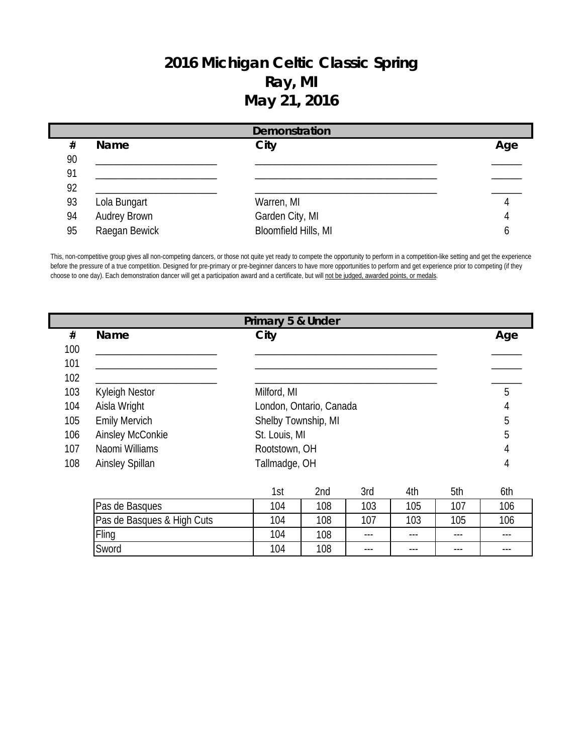## **2016 Michigan Celtic Classic Spring Ray, MI May 21, 2016**

| Demonstration |               |                      |     |  |  |  |
|---------------|---------------|----------------------|-----|--|--|--|
| #             | <b>Name</b>   | City                 | Age |  |  |  |
| 90            |               |                      |     |  |  |  |
| 91            |               |                      |     |  |  |  |
| 92            |               |                      |     |  |  |  |
| 93            | Lola Bungart  | Warren, MI           |     |  |  |  |
| 94            | Audrey Brown  | Garden City, MI      |     |  |  |  |
| 95            | Raegan Bewick | Bloomfield Hills, MI |     |  |  |  |

This, non-competitive group gives all non-competing dancers, or those not quite yet ready to compete the opportunity to perform in a competition-like setting and get the experience before the pressure of a true competition. Designed for pre-primary or pre-beginner dancers to have more opportunities to perform and get experience prior to competing (if they choose to one day). Each demonstration dancer will get a participation award and a certificate, but will not be judged, awarded points, or medals.

|     |                            | Primary 5 & Under   |                         |       |     |     |     |
|-----|----------------------------|---------------------|-------------------------|-------|-----|-----|-----|
| #   | Name                       | City                |                         |       |     |     | Age |
| 100 |                            |                     |                         |       |     |     |     |
| 101 |                            |                     |                         |       |     |     |     |
| 102 |                            |                     |                         |       |     |     |     |
| 103 | <b>Kyleigh Nestor</b>      | Milford, MI         |                         |       |     |     | 5   |
| 104 | Aisla Wright               |                     | London, Ontario, Canada |       |     |     | 4   |
| 105 | <b>Emily Mervich</b>       | Shelby Township, MI |                         |       |     |     | 5   |
| 106 | Ainsley McConkie           | St. Louis, MI       |                         |       |     |     | 5   |
| 107 | Naomi Williams             | Rootstown, OH       |                         |       |     |     | 4   |
| 108 | <b>Ainsley Spillan</b>     | Tallmadge, OH       |                         |       |     |     | 4   |
|     |                            |                     |                         |       |     |     |     |
|     |                            | 1st                 | 2nd                     | 3rd   | 4th | 5th | 6th |
|     | Pas de Basques             | 104                 | 108                     | 103   | 105 | 107 | 106 |
|     | Pas de Basques & High Cuts |                     | 108                     | 107   | 103 | 105 | 106 |
|     | Fling                      | 104                 | 108                     | $---$ | --- | --- |     |
|     | Sword                      | 104                 | 108                     | $---$ | --- | --- |     |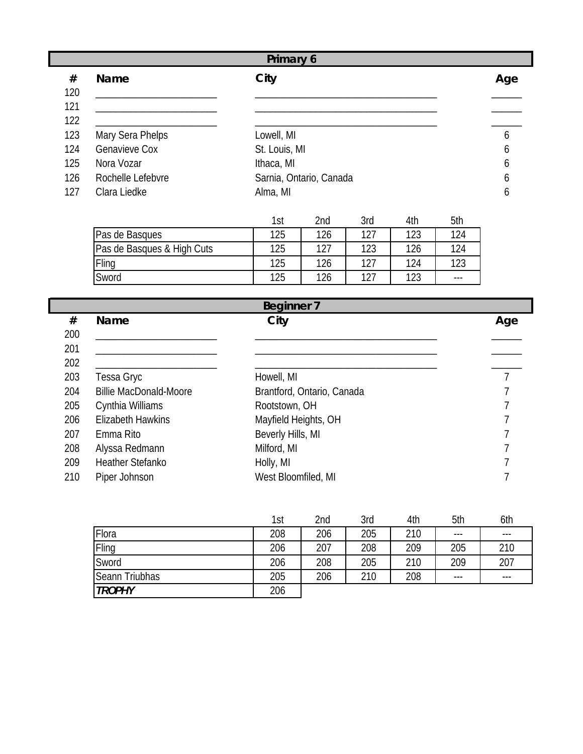|     | Primary 6            |                         |     |  |  |  |  |
|-----|----------------------|-------------------------|-----|--|--|--|--|
| #   | <b>Name</b>          | City                    | Age |  |  |  |  |
| 120 |                      |                         |     |  |  |  |  |
| 121 |                      |                         |     |  |  |  |  |
| 122 |                      |                         |     |  |  |  |  |
| 123 | Mary Sera Phelps     | Lowell, MI              | 6   |  |  |  |  |
| 124 | <b>Genavieve Cox</b> | St. Louis, MI           | 6   |  |  |  |  |
| 125 | Nora Vozar           | Ithaca, MI              | 6   |  |  |  |  |
| 126 | Rochelle Lefebvre    | Sarnia, Ontario, Canada | b   |  |  |  |  |
| 127 | Clara Liedke         | Alma, MI                | b   |  |  |  |  |

|                            | 1st | 2nd | 3rd | 4th | 5th     |
|----------------------------|-----|-----|-----|-----|---------|
| Pas de Basques             | 125 | 126 | 177 | 123 | 124     |
| Pas de Basques & High Cuts | 125 | 127 | 123 | 126 | 124     |
| Fling                      | 125 | 126 | 127 | 124 | 123     |
| Sword                      | 125 | 126 | 177 | 123 | $- - -$ |

|     | <b>Beginner 7</b>             |                            |     |  |  |  |  |  |
|-----|-------------------------------|----------------------------|-----|--|--|--|--|--|
| #   | <b>Name</b>                   | City                       | Age |  |  |  |  |  |
| 200 |                               |                            |     |  |  |  |  |  |
| 201 |                               |                            |     |  |  |  |  |  |
| 202 |                               |                            |     |  |  |  |  |  |
| 203 | Tessa Gryc                    | Howell, MI                 |     |  |  |  |  |  |
| 204 | <b>Billie MacDonald-Moore</b> | Brantford, Ontario, Canada |     |  |  |  |  |  |
| 205 | Cynthia Williams              | Rootstown, OH              |     |  |  |  |  |  |
| 206 | <b>Elizabeth Hawkins</b>      | Mayfield Heights, OH       |     |  |  |  |  |  |
| 207 | Emma Rito                     | Beverly Hills, MI          |     |  |  |  |  |  |
| 208 | Alyssa Redmann                | Milford, MI                |     |  |  |  |  |  |
| 209 | <b>Heather Stefanko</b>       | Holly, MI                  |     |  |  |  |  |  |
| 210 | Piper Johnson                 | West Bloomfiled, MI        |     |  |  |  |  |  |

|                | 1st | 2nd | 3rd | 4th | 5th   | 6th     |
|----------------|-----|-----|-----|-----|-------|---------|
| Flora          | 208 | 206 | 205 | 210 | $---$ | ---     |
| Fling          | 206 | 207 | 208 | 209 | 205   | 210     |
| Sword          | 206 | 208 | 205 | 210 | 209   | 207     |
| Seann Triubhas | 205 | 206 | 210 | 208 | $---$ | $- - -$ |
| <b>TROPHY</b>  | 206 |     |     |     |       |         |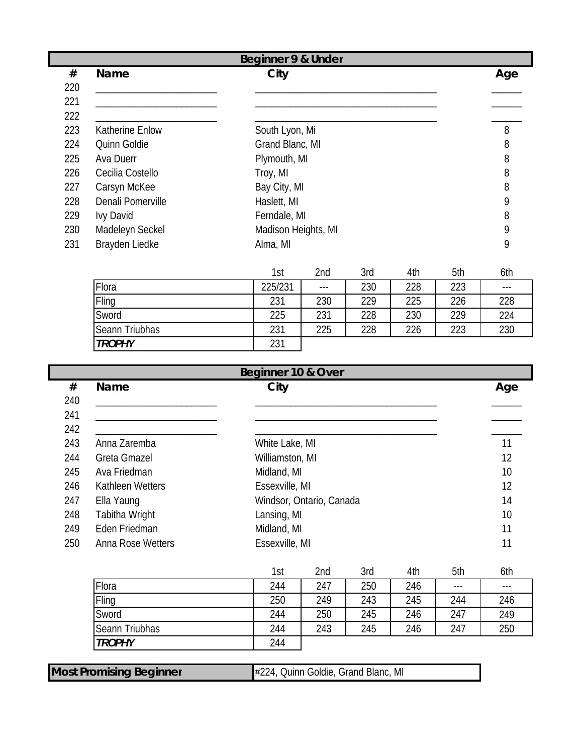|     |                        | <b>Beginner 9 &amp; Under</b> |       |     |     |     |     |
|-----|------------------------|-------------------------------|-------|-----|-----|-----|-----|
| #   | Name                   | City                          |       |     |     |     | Age |
| 220 |                        |                               |       |     |     |     |     |
| 221 |                        |                               |       |     |     |     |     |
| 222 |                        |                               |       |     |     |     |     |
| 223 | <b>Katherine Enlow</b> | South Lyon, Mi                |       |     |     |     | 8   |
| 224 | Quinn Goldie           | Grand Blanc, MI               |       |     |     |     | 8   |
| 225 | Ava Duerr              | Plymouth, MI                  |       |     |     |     | 8   |
| 226 | Cecilia Costello       | Troy, MI                      |       |     |     |     | 8   |
| 227 | Carsyn McKee           | Bay City, MI                  |       |     |     |     | 8   |
| 228 | Denali Pomerville      | Haslett, MI                   |       |     |     |     | 9   |
| 229 | <b>Ivy David</b>       | Ferndale, MI                  |       |     |     |     | 8   |
| 230 | Madeleyn Seckel        | Madison Heights, MI           |       |     |     |     | 9   |
| 231 | Brayden Liedke         | Alma, MI                      |       |     |     |     | 9   |
|     |                        |                               |       |     |     |     |     |
|     |                        | 1st                           | 2nd   | 3rd | 4th | 5th | 6th |
|     | Flora                  | 225/231                       | $---$ | 230 | 228 | 223 | --- |
|     | Fling                  | 231                           | 230   | 229 | 225 | 226 | 228 |
|     | Sword                  | 225                           | 231   | 228 | 230 | 229 | 224 |

|     | Beginner 10 & Over  |                          |     |  |  |  |  |  |
|-----|---------------------|--------------------------|-----|--|--|--|--|--|
| #   | <b>Name</b>         | City                     | Age |  |  |  |  |  |
| 240 |                     |                          |     |  |  |  |  |  |
| 241 |                     |                          |     |  |  |  |  |  |
| 242 |                     |                          |     |  |  |  |  |  |
| 243 | Anna Zaremba        | White Lake, MI           | 11  |  |  |  |  |  |
| 244 | <b>Greta Gmazel</b> | Williamston, MI          | 12  |  |  |  |  |  |
| 245 | Ava Friedman        | Midland, MI              | 10  |  |  |  |  |  |
| 246 | Kathleen Wetters    | Essexville, MI           | 12  |  |  |  |  |  |
| 247 | Ella Yaung          | Windsor, Ontario, Canada | 14  |  |  |  |  |  |
| 248 | Tabitha Wright      | Lansing, MI              | 10  |  |  |  |  |  |
| 249 | Eden Friedman       | Midland, MI              | 11  |  |  |  |  |  |
| 250 | Anna Rose Wetters   | Essexville, MI           | 11  |  |  |  |  |  |

Seann Triubhas 231 225 228 226 223 230

*TROPHY* 231

I

|                | 1st | 2nd | 3rd | 4th | 5th   | 6th   |
|----------------|-----|-----|-----|-----|-------|-------|
| Flora          | 244 | 247 | 250 | 246 | $---$ | $---$ |
| Fling          | 250 | 249 | 243 | 245 | 244   | 246   |
| Sword          | 244 | 250 | 245 | 246 | 247   | 249   |
| Seann Triubhas | 244 | 243 | 245 | 246 | 247   | 250   |
| <b>TROPHY</b>  | 244 |     |     |     |       |       |

| <b>Most Promising Beginner</b><br>#224, Quinn Goldie, Grand Blanc, MI |  |
|-----------------------------------------------------------------------|--|
|-----------------------------------------------------------------------|--|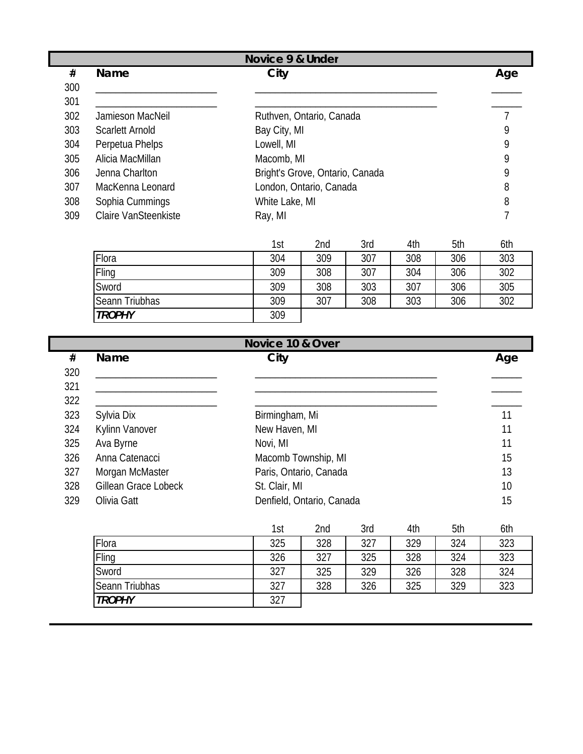| Novice 9 & Under |                        |            |                                 |     |     |     |     |  |
|------------------|------------------------|------------|---------------------------------|-----|-----|-----|-----|--|
| #                | <b>Name</b>            | City       |                                 | Age |     |     |     |  |
| 300              |                        |            |                                 |     |     |     |     |  |
| 301              |                        |            |                                 |     |     |     |     |  |
| 302              | Jamieson MacNeil       |            | Ruthven, Ontario, Canada        |     |     |     |     |  |
| 303              | <b>Scarlett Arnold</b> |            | Bay City, MI                    |     |     |     |     |  |
| 304              | Perpetua Phelps        | Lowell, MI |                                 |     |     |     | 9   |  |
| 305              | Alicia MacMillan       | Macomb, MI |                                 |     |     |     | 9   |  |
| 306              | Jenna Charlton         |            | Bright's Grove, Ontario, Canada |     |     |     | 9   |  |
| 307              | MacKenna Leonard       |            | London, Ontario, Canada         |     |     |     | 8   |  |
| 308              | Sophia Cummings        |            | White Lake, MI                  |     |     |     |     |  |
| 309              | Claire VanSteenkiste   | Ray, MI    |                                 |     |     |     |     |  |
|                  |                        | 1st        | 2nd                             | 3rd | 4th | 5th | 6th |  |

|                | ا ب ا | <u>ziju</u> | ິບເພ | ℸտ  | ៴៶៲៲ | <b>VUL</b> |
|----------------|-------|-------------|------|-----|------|------------|
| Flora          | 304   | 309         | 307  | 308 | 306  | 303        |
| Fling          | 309   | 308         | 307  | 304 | 306  | 302        |
| Sword          | 309   | 308         | 303  | 307 | 306  | 305        |
| Seann Triubhas | 309   | 307         | 308  | 303 | 306  | 302        |
| <b>TROPHY</b>  | 309   |             |      |     |      |            |

|     | Novice 10 & Over     |                                                      |             |  |  |  |  |  |
|-----|----------------------|------------------------------------------------------|-------------|--|--|--|--|--|
| #   | <b>Name</b>          | City                                                 | Age         |  |  |  |  |  |
| 320 |                      |                                                      |             |  |  |  |  |  |
| 321 |                      |                                                      |             |  |  |  |  |  |
| 322 |                      |                                                      |             |  |  |  |  |  |
| 323 | Sylvia Dix           | Birmingham, Mi                                       | 11          |  |  |  |  |  |
| 324 | Kylinn Vanover       | New Haven, MI                                        | 11          |  |  |  |  |  |
| 325 | Ava Byrne            | Novi, MI                                             | 11          |  |  |  |  |  |
| 326 | Anna Catenacci       | Macomb Township, MI                                  | 15          |  |  |  |  |  |
| 327 | Morgan McMaster      | Paris, Ontario, Canada                               | 13          |  |  |  |  |  |
| 328 | Gillean Grace Lobeck | St. Clair, MI                                        | 10          |  |  |  |  |  |
| 329 | Olivia Gatt          | Denfield, Ontario, Canada                            | 15          |  |  |  |  |  |
|     |                      | $2 - 1$<br>411<br>E ALLI<br>$\Omega = -1$<br>$4 - 1$ | $\sqrt{11}$ |  |  |  |  |  |

|                | 1st | 2nd | 3rd | 4th | 5th | 6th |
|----------------|-----|-----|-----|-----|-----|-----|
| Flora          | 325 | 328 | 327 | 329 | 324 | 323 |
| Fling          | 326 | 327 | 325 | 328 | 324 | 323 |
| Sword          | 327 | 325 | 329 | 326 | 328 | 324 |
| Seann Triubhas | 327 | 328 | 326 | 325 | 329 | 323 |
| <b>TROPHY</b>  | 327 |     |     |     |     |     |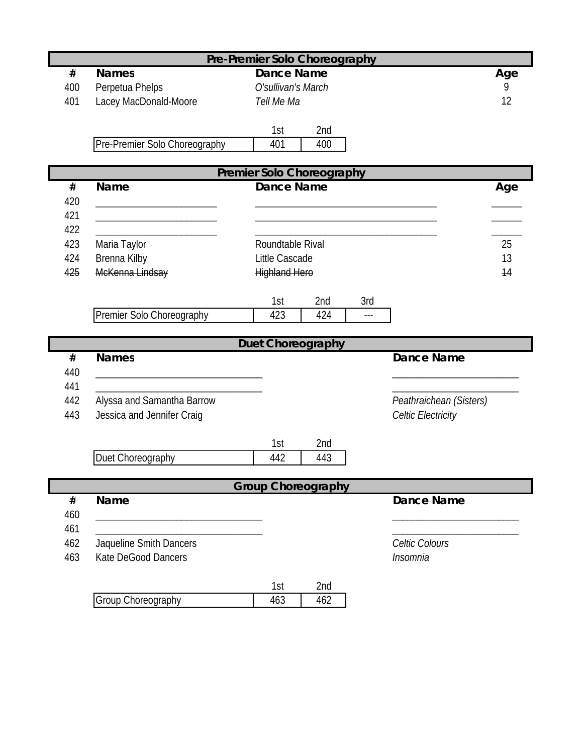| Pre-Premier Solo Choreography |                                                               |                                  |                           |  |  |  |  |  |
|-------------------------------|---------------------------------------------------------------|----------------------------------|---------------------------|--|--|--|--|--|
| $\#$                          | <b>Names</b>                                                  | <b>Dance Name</b>                | Age                       |  |  |  |  |  |
| 400                           | Perpetua Phelps                                               | O'sullivan's March               | 9                         |  |  |  |  |  |
| 401                           | Lacey MacDonald-Moore                                         | Tell Me Ma                       | 12                        |  |  |  |  |  |
|                               |                                                               |                                  |                           |  |  |  |  |  |
|                               |                                                               | 1st<br>2nd                       |                           |  |  |  |  |  |
|                               | Pre-Premier Solo Choreography                                 | 401<br>400                       |                           |  |  |  |  |  |
|                               |                                                               | <b>Premier Solo Choreography</b> |                           |  |  |  |  |  |
| #                             | <b>Name</b>                                                   | <b>Dance Name</b>                | Age                       |  |  |  |  |  |
| 420                           |                                                               |                                  |                           |  |  |  |  |  |
| 421                           | <u> 1980 - Johann Barn, mars an t-Amerikaansk politiker (</u> |                                  |                           |  |  |  |  |  |
| 422                           |                                                               |                                  |                           |  |  |  |  |  |
| 423                           | Maria Taylor                                                  | Roundtable Rival                 | 25                        |  |  |  |  |  |
| 424                           | Brenna Kilby                                                  | Little Cascade                   | 13                        |  |  |  |  |  |
| 425                           | McKenna Lindsay                                               | <b>Highland Hero</b>             | 14                        |  |  |  |  |  |
|                               |                                                               |                                  |                           |  |  |  |  |  |
|                               |                                                               | 2nd<br>1st<br>3rd                |                           |  |  |  |  |  |
|                               | Premier Solo Choreography                                     | 423<br>424<br>$---$              |                           |  |  |  |  |  |
|                               |                                                               |                                  |                           |  |  |  |  |  |
|                               |                                                               |                                  |                           |  |  |  |  |  |
|                               |                                                               | Duet Choreography                |                           |  |  |  |  |  |
| #                             | <b>Names</b>                                                  |                                  | <b>Dance Name</b>         |  |  |  |  |  |
| 440                           |                                                               |                                  |                           |  |  |  |  |  |
| 441                           |                                                               |                                  |                           |  |  |  |  |  |
| 442<br>443                    | Alyssa and Samantha Barrow                                    |                                  | Peathraichean (Sisters)   |  |  |  |  |  |
|                               | Jessica and Jennifer Craig                                    |                                  | <b>Celtic Electricity</b> |  |  |  |  |  |
|                               |                                                               | 1st<br>2nd                       |                           |  |  |  |  |  |
|                               | Duet Choreography                                             | 442<br>443                       |                           |  |  |  |  |  |
|                               |                                                               |                                  |                           |  |  |  |  |  |
|                               |                                                               | <b>Group Choreography</b>        |                           |  |  |  |  |  |
| $\#$                          | Name                                                          |                                  | <b>Dance Name</b>         |  |  |  |  |  |
| 460                           |                                                               |                                  |                           |  |  |  |  |  |
| 461                           |                                                               |                                  |                           |  |  |  |  |  |
| 462                           | Jaqueline Smith Dancers                                       |                                  | Celtic Colours            |  |  |  |  |  |
| 463                           | Kate DeGood Dancers                                           |                                  | Insomnia                  |  |  |  |  |  |
|                               |                                                               |                                  |                           |  |  |  |  |  |
|                               | Group Choreography                                            | 1st<br>2nd<br>463<br>462         |                           |  |  |  |  |  |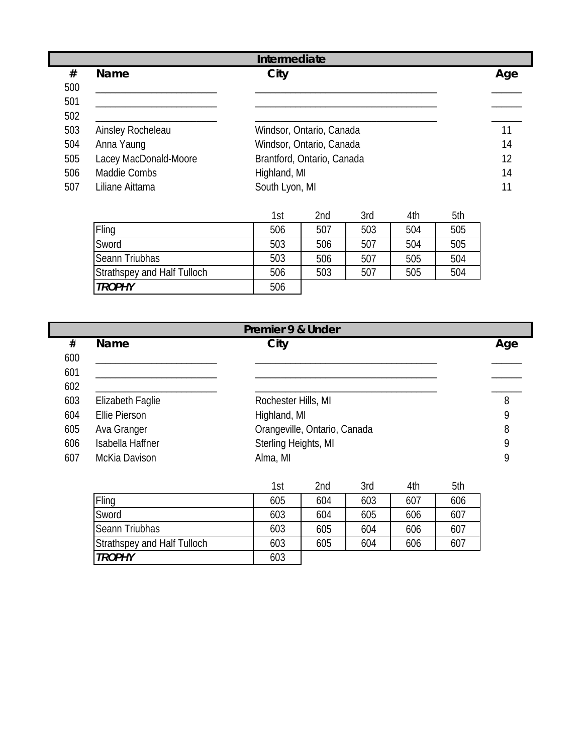| Intermediate |                       |                            |     |  |  |  |
|--------------|-----------------------|----------------------------|-----|--|--|--|
| #            | <b>Name</b>           | City                       | Age |  |  |  |
| 500          |                       |                            |     |  |  |  |
| 501          |                       |                            |     |  |  |  |
| 502          |                       |                            |     |  |  |  |
| 503          | Ainsley Rocheleau     | Windsor, Ontario, Canada   | 11  |  |  |  |
| 504          | Anna Yaung            | Windsor, Ontario, Canada   | 14  |  |  |  |
| 505          | Lacey MacDonald-Moore | Brantford, Ontario, Canada | 12  |  |  |  |
| 506          | Maddie Combs          | Highland, MI               | 14  |  |  |  |
| 507          | Liliane Aittama       | South Lyon, MI             |     |  |  |  |

|                                    | 1st | 2nd | 3rd | 4th | 5th |
|------------------------------------|-----|-----|-----|-----|-----|
| Fling                              | 506 | 507 | 503 | 504 | 505 |
| Sword                              | 503 | 506 | 507 | 504 | 505 |
| <b>Seann Triubhas</b>              | 503 | 506 | 507 | 505 | 504 |
| <b>Strathspey and Half Tulloch</b> | 506 | 503 | 507 | 505 | 504 |
| <b>TROPHY</b>                      | 506 |     |     |     |     |

|     | Premier 9 & Under    |  |                              |     |     |     |     |   |  |
|-----|----------------------|--|------------------------------|-----|-----|-----|-----|---|--|
| #   | Name                 |  | City                         |     |     |     |     |   |  |
| 600 |                      |  |                              |     |     |     |     |   |  |
| 601 |                      |  |                              |     |     |     |     |   |  |
| 602 |                      |  |                              |     |     |     |     |   |  |
| 603 | Elizabeth Faglie     |  | Rochester Hills, MI          |     |     |     |     | 8 |  |
| 604 | <b>Ellie Pierson</b> |  | Highland, MI                 |     |     |     |     | 9 |  |
| 605 | Ava Granger          |  | Orangeville, Ontario, Canada |     |     |     |     | 8 |  |
| 606 | Isabella Haffner     |  | Sterling Heights, MI         |     |     |     |     | 9 |  |
| 607 | McKia Davison        |  | Alma, MI                     |     |     |     |     |   |  |
|     |                      |  | 1st                          | 2nd | 3rd | 4th | 5th |   |  |
|     | Fling                |  | 605                          | 604 | 603 | 607 | 606 |   |  |

| ILIII                       | CUO | <b>004</b> | <b>OUJ</b> | OV 7 | <b>OUO</b> |
|-----------------------------|-----|------------|------------|------|------------|
| Sword                       | 603 | 604        | 605        | 606  | 607        |
| Seann Triubhas              | 603 | 605        | 604        | 606  | 607        |
| Strathspey and Half Tulloch | 603 | 605        | 604        | 606  | 607        |
| <b>TROPHY</b>               | 603 |            |            |      |            |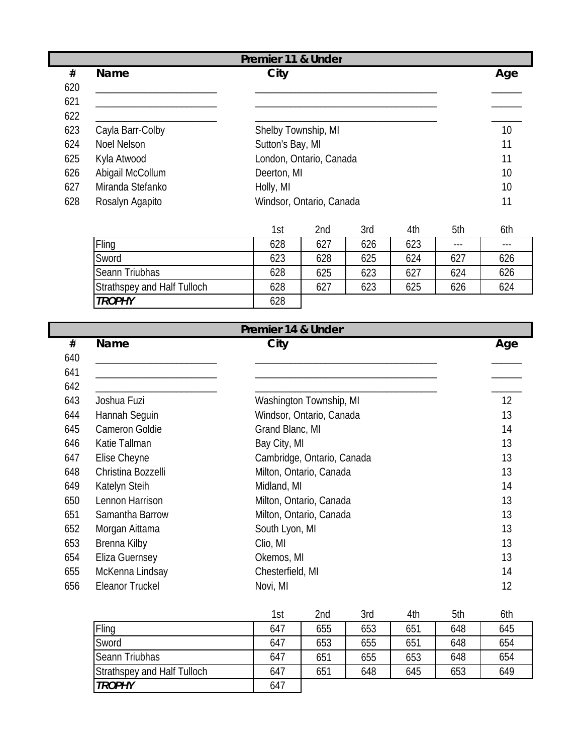| Premier 11 & Under |                  |                          |     |  |  |
|--------------------|------------------|--------------------------|-----|--|--|
| #                  | Name             | City                     | Age |  |  |
| 620                |                  |                          |     |  |  |
| 621                |                  |                          |     |  |  |
| 622                |                  |                          |     |  |  |
| 623                | Cayla Barr-Colby | Shelby Township, MI      | 10  |  |  |
| 624                | Noel Nelson      | Sutton's Bay, MI         | 11  |  |  |
| 625                | Kyla Atwood      | London, Ontario, Canada  | 11  |  |  |
| 626                | Abigail McCollum | Deerton, MI              | 10  |  |  |
| 627                | Miranda Stefanko | Holly, MI                | 10  |  |  |
| 628                | Rosalyn Agapito  | Windsor, Ontario, Canada | 11  |  |  |

|                             | 1st | 2nd | 3rd | 4th | 5th | 6th     |
|-----------------------------|-----|-----|-----|-----|-----|---------|
| Fling                       | 628 | 627 | 626 | 623 | --- | $- - -$ |
| Sword                       | 623 | 628 | 625 | 624 | 627 | 626     |
| Seann Triubhas              | 628 | 625 | 623 | 627 | 624 | 626     |
| Strathspey and Half Tulloch | 628 | 627 | 623 | 625 | 626 | 624     |
| <b>TROPHY</b>               | 628 |     |     |     |     |         |

|     | Premier 14 & Under    |                            |     |  |  |  |  |  |
|-----|-----------------------|----------------------------|-----|--|--|--|--|--|
| #   | <b>Name</b>           | City                       | Age |  |  |  |  |  |
| 640 |                       |                            |     |  |  |  |  |  |
| 641 |                       |                            |     |  |  |  |  |  |
| 642 |                       |                            |     |  |  |  |  |  |
| 643 | Joshua Fuzi           | Washington Township, MI    | 12  |  |  |  |  |  |
| 644 | Hannah Seguin         | Windsor, Ontario, Canada   | 13  |  |  |  |  |  |
| 645 | <b>Cameron Goldie</b> | Grand Blanc, MI            | 14  |  |  |  |  |  |
| 646 | Katie Tallman         | Bay City, MI               | 13  |  |  |  |  |  |
| 647 | Elise Cheyne          | Cambridge, Ontario, Canada | 13  |  |  |  |  |  |
| 648 | Christina Bozzelli    | Milton, Ontario, Canada    | 13  |  |  |  |  |  |
| 649 | Katelyn Steih         | Midland, MI                | 14  |  |  |  |  |  |
| 650 | Lennon Harrison       | Milton, Ontario, Canada    | 13  |  |  |  |  |  |
| 651 | Samantha Barrow       | Milton, Ontario, Canada    | 13  |  |  |  |  |  |
| 652 | Morgan Aittama        | South Lyon, MI             | 13  |  |  |  |  |  |
| 653 | Brenna Kilby          | Clio, MI                   | 13  |  |  |  |  |  |
| 654 | <b>Eliza Guernsey</b> | Okemos, MI                 | 13  |  |  |  |  |  |
| 655 | McKenna Lindsay       | Chesterfield, MI           | 14  |  |  |  |  |  |
| 656 | Eleanor Truckel       | Novi, MI                   | 12  |  |  |  |  |  |

|                             | 1st | 2nd | 3rd | 4th | 5th | 6th |
|-----------------------------|-----|-----|-----|-----|-----|-----|
| Fling                       | 647 | 655 | 653 | 651 | 648 | 645 |
| Sword                       | 647 | 653 | 655 | 651 | 648 | 654 |
| Seann Triubhas              | 647 | 651 | 655 | 653 | 648 | 654 |
| Strathspey and Half Tulloch | 647 | 651 | 648 | 645 | 653 | 649 |
| <b>TROPHY</b>               | 647 |     |     |     |     |     |